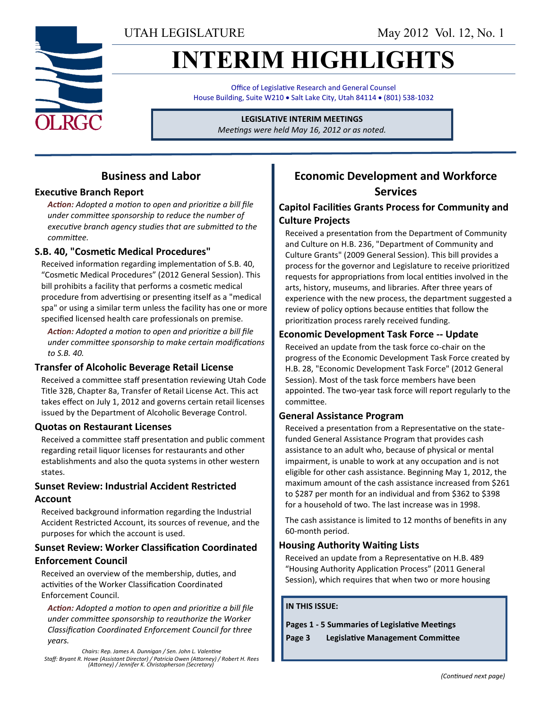UTAH LEGISLATURE May 2012 Vol. 12, No. 1

# **INTERIM HIGHLIGHTS**

Office of Legislative Research and General Counsel House Building, Suite W210 . Salt Lake City, Utah 84114 . (801) 538-1032

> **LEGISLATIVE INTERIM MEETINGS** *Meetings were held May 16, 2012 or as noted.*

# **Business and Labor**

#### **Executive Branch Report**

*Action: Adopted a motion to open and prioritize a bill file under committee sponsorship to reduce the number of executive branch agency studies that are submitted to the committee.*

#### **S.B. 40, "Cosmetic Medical Procedures"**

Received information regarding implementation of S.B. 40, "Cosmetic Medical Procedures" (2012 General Session). This bill prohibits a facility that performs a cosmetic medical procedure from advertising or presenting itself as a "medical spa" or using a similar term unless the facility has one or more specified licensed health care professionals on premise.

*Action: Adopted a motion to open and prioritize a bill file under committee sponsorship to make certain modifications to S.B. 40.*

#### **Transfer of Alcoholic Beverage Retail License**

Received a committee staff presentation reviewing Utah Code Title 32B, Chapter 8a, Transfer of Retail License Act. This act takes effect on July 1, 2012 and governs certain retail licenses issued by the Department of Alcoholic Beverage Control.

#### **Quotas on Restaurant Licenses**

Received a committee staff presentation and public comment regarding retail liquor licenses for restaurants and other establishments and also the quota systems in other western states.

#### **Sunset Review: Industrial Accident Restricted Account**

Received background information regarding the Industrial Accident Restricted Account, its sources of revenue, and the purposes for which the account is used.

### **Sunset Review: Worker Classification Coordinated Enforcement Council**

Received an overview of the membership, duties, and activities of the Worker Classification Coordinated Enforcement Council.

*Action: Adopted a motion to open and prioritize a bill file under committee sponsorship to reauthorize the Worker Classification Coordinated Enforcement Council for three years.*

*Chairs: Rep. James A. Dunnigan / Sen. John L. Valentine Staff: Bryant R. Howe (Assistant Director) / Patricia Owen (Attorney) / Robert H. Rees (Attorney) / Jennifer K. Christopherson (Secretary)*

# **Economic Development and Workforce Services**

#### **Capitol Facilities Grants Process for Community and Culture Projects**

Received a presentation from the Department of Community and Culture on H.B. 236, "Department of Community and Culture Grants" (2009 General Session). This bill provides a process for the governor and Legislature to receive prioritized requests for appropriations from local entities involved in the arts, history, museums, and libraries. After three years of experience with the new process, the department suggested a review of policy options because entities that follow the prioritization process rarely received funding.

#### **Economic Development Task Force -- Update**

Received an update from the task force co-chair on the progress of the Economic Development Task Force created by H.B. 28, "Economic Development Task Force" (2012 General Session). Most of the task force members have been appointed. The two-year task force will report regularly to the committee.

#### **General Assistance Program**

Received a presentation from a Representative on the statefunded General Assistance Program that provides cash assistance to an adult who, because of physical or mental impairment, is unable to work at any occupation and is not eligible for other cash assistance. Beginning May 1, 2012, the maximum amount of the cash assistance increased from \$261 to \$287 per month for an individual and from \$362 to \$398 for a household of two. The last increase was in 1998.

The cash assistance is limited to 12 months of benefits in any 60-month period.

#### **Housing Authority Waiting Lists**

Received an update from a Representative on H.B. 489 "Housing Authority Application Process" (2011 General Session), which requires that when two or more housing

#### **IN THIS ISSUE:**

**Pages 1 - 5 Summaries of Legislative Meetings**

**Page 3 Legislative Management Committee**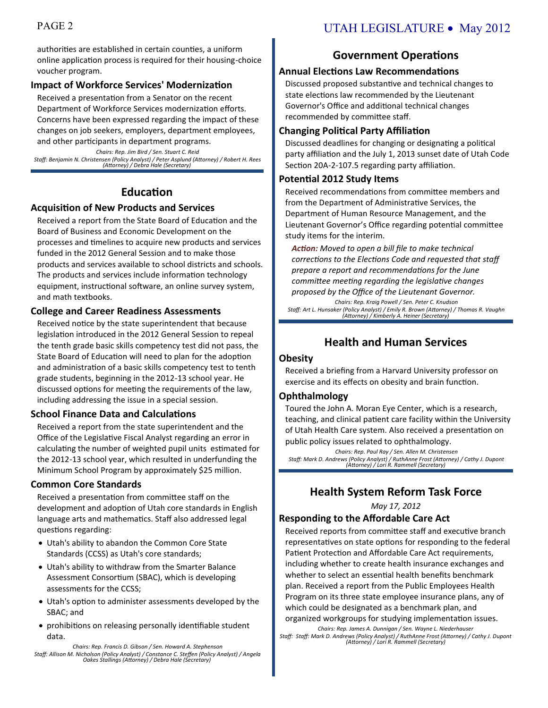authorities are established in certain counties, a uniform online application process is required for their housing-choice voucher program.

#### **Impact of Workforce Services' Modernization**

Received a presentation from a Senator on the recent Department of Workforce Services modernization efforts. Concerns have been expressed regarding the impact of these changes on job seekers, employers, department employees, and other participants in department programs.

*Chairs: Rep. Jim Bird / Sen. Stuart C. Reid Staff: Benjamin N. Christensen (Policy Analyst) / Peter Asplund (Attorney) / Robert H. Rees (Attorney) / Debra Hale (Secretary)*

# **Education**

#### **Acquisition of New Products and Services**

Received a report from the State Board of Education and the Board of Business and Economic Development on the processes and timelines to acquire new products and services funded in the 2012 General Session and to make those products and services available to school districts and schools. The products and services include information technology equipment, instructional software, an online survey system, and math textbooks.

#### **College and Career Readiness Assessments**

Received notice by the state superintendent that because legislation introduced in the 2012 General Session to repeal the tenth grade basic skills competency test did not pass, the State Board of Education will need to plan for the adoption and administration of a basic skills competency test to tenth grade students, beginning in the 2012-13 school year. He discussed options for meeting the requirements of the law, including addressing the issue in a special session.

#### **School Finance Data and Calculations**

Received a report from the state superintendent and the Office of the Legislative Fiscal Analyst regarding an error in calculating the number of weighted pupil units estimated for the 2012-13 school year, which resulted in underfunding the Minimum School Program by approximately \$25 million.

#### **Common Core Standards**

Received a presentation from committee staff on the development and adoption of Utah core standards in English language arts and mathematics. Staff also addressed legal questions regarding:

- Utah's ability to abandon the Common Core State Standards (CCSS) as Utah's core standards;
- Utah's ability to withdraw from the Smarter Balance Assessment Consortium (SBAC), which is developing assessments for the CCSS;
- Utah's option to administer assessments developed by the SBAC; and
- prohibitions on releasing personally identifiable student data.

*Chairs: Rep. Francis D. Gibson / Sen. Howard A. Stephenson Staff: Allison M. Nicholson (Policy Analyst) / Constance C. Steffen (Policy Analyst) / Angela Oakes Stallings (Attorney) / Debra Hale (Secretary)*

#### **Government Operations**

#### **Annual Elections Law Recommendations**

Discussed proposed substantive and technical changes to state elections law recommended by the Lieutenant Governor's Office and additional technical changes recommended by committee staff.

#### **Changing Political Party Affiliation**

Discussed deadlines for changing or designating a political party affiliation and the July 1, 2013 sunset date of Utah Code Section 20A-2-107.5 regarding party affiliation.

#### **Potential 2012 Study Items**

Received recommendations from committee members and from the Department of Administrative Services, the Department of Human Resource Management, and the Lieutenant Governor's Office regarding potential committee study items for the interim.

*Action: Moved to open a bill file to make technical corrections to the Elections Code and requested that staff prepare a report and recommendations for the June committee meeting regarding the legislative changes proposed by the Office of the Lieutenant Governor.*

*Chairs: Rep. Kraig Powell / Sen. Peter C. Knudson Staff: Art L. Hunsaker (Policy Analyst) / Emily R. Brown (Attorney) / Thomas R. Vaughn (Attorney) / Kimberly A. Heiner (Secretary)*

## **Health and Human Services**

#### **Obesity**

Received a briefing from a Harvard University professor on exercise and its effects on obesity and brain function.

#### **Ophthalmology**

Toured the John A. Moran Eye Center, which is a research, teaching, and clinical patient care facility within the University of Utah Health Care system. Also received a presentation on public policy issues related to ophthalmology.

*Chairs: Rep. Paul Ray / Sen. Allen M. Christensen Staff: Mark D. Andrews (Policy Analyst) / RuthAnne Frost (Attorney) / Cathy J. Dupont (Attorney) / Lori R. Rammell (Secretary)*

# **Health System Reform Task Force**

*May 17, 2012*

#### **Responding to the Affordable Care Act**

Received reports from committee staff and executive branch representatives on state options for responding to the federal Patient Protection and Affordable Care Act requirements, including whether to create health insurance exchanges and whether to select an essential health benefits benchmark plan. Received a report from the Public Employees Health Program on its three state employee insurance plans, any of which could be designated as a benchmark plan, and organized workgroups for studying implementation issues.

*Chairs: Rep. James A. Dunnigan / Sen. Wayne L. Niederhauser Staff: Staff: Mark D. Andrews (Policy Analyst) / RuthAnne Frost (Attorney) / Cathy J. Dupont (Attorney) / Lori R. Rammell (Secretary)*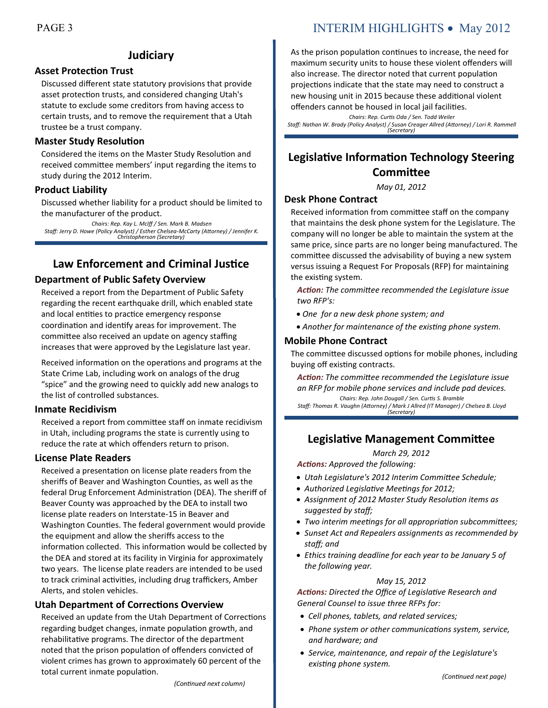# **Judiciary**

#### **Asset Protection Trust**

Discussed different state statutory provisions that provide asset protection trusts, and considered changing Utah's statute to exclude some creditors from having access to certain trusts, and to remove the requirement that a Utah trustee be a trust company.

#### **Master Study Resolution**

Considered the items on the Master Study Resolution and received committee members' input regarding the items to study during the 2012 Interim.

#### **Product Liability**

Discussed whether liability for a product should be limited to the manufacturer of the product.

*Chairs: Rep. Kay L. McIff / Sen. Mark B. Madsen Staff: Jerry D. Howe (Policy Analyst) / Esther Chelsea-McCarty (Attorney) / Jennifer K. Christopherson (Secretary)*

# **Law Enforcement and Criminal Justice**

#### **Department of Public Safety Overview**

Received a report from the Department of Public Safety regarding the recent earthquake drill, which enabled state and local entities to practice emergency response coordination and identify areas for improvement. The committee also received an update on agency staffing increases that were approved by the Legislature last year.

Received information on the operations and programs at the State Crime Lab, including work on analogs of the drug "spice" and the growing need to quickly add new analogs to the list of controlled substances.

#### **Inmate Recidivism**

Received a report from committee staff on inmate recidivism in Utah, including programs the state is currently using to reduce the rate at which offenders return to prison.

#### **License Plate Readers**

Received a presentation on license plate readers from the sheriffs of Beaver and Washington Counties, as well as the federal Drug Enforcement Administration (DEA). The sheriff of Beaver County was approached by the DEA to install two license plate readers on Interstate-15 in Beaver and Washington Counties. The federal government would provide the equipment and allow the sheriffs access to the information collected. This information would be collected by the DEA and stored at its facility in Virginia for approximately two years. The license plate readers are intended to be used to track criminal activities, including drug traffickers, Amber Alerts, and stolen vehicles.

#### **Utah Department of Corrections Overview**

Received an update from the Utah Department of Corrections regarding budget changes, inmate population growth, and rehabilitative programs. The director of the department noted that the prison population of offenders convicted of violent crimes has grown to approximately 60 percent of the total current inmate population.

*(Continued next column)*

# PAGE 3 INTERIM HIGHLIGHTS • May 2012

As the prison population continues to increase, the need for maximum security units to house these violent offenders will also increase. The director noted that current population projections indicate that the state may need to construct a new housing unit in 2015 because these additional violent offenders cannot be housed in local jail facilities.

*Chairs: Rep. Curtis Oda / Sen. Todd Weiler Staff: Nathan W. Brady (Policy Analyst) / Susan Creager Allred (Attorney) / Lori R. Rammell (Secretary)*

# **Legislative Information Technology Steering Committee**

*May 01, 2012*

#### **Desk Phone Contract**

Received information from committee staff on the company that maintains the desk phone system for the Legislature. The company will no longer be able to maintain the system at the same price, since parts are no longer being manufactured. The committee discussed the advisability of buying a new system versus issuing a Request For Proposals (RFP) for maintaining the existing system.

*Action: The committee recommended the Legislature issue two RFP's:*

- *One for a new desk phone system; and*
- *Another for maintenance of the existing phone system.*

#### **Mobile Phone Contract**

The committee discussed options for mobile phones, including buying off existing contracts.

*Action: The committee recommended the Legislature issue an RFP for mobile phone services and include pad devices.*

*Chairs: Rep. John Dougall / Sen. Curtis S. Bramble Staff: Thomas R. Vaughn (Attorney) / Mark J Allred (IT Manager) / Chelsea B. Lloyd (Secretary)*

# **Legislative Management Committee**

#### *March 29, 2012*

*Actions: Approved the following:*

- *Utah Legislature's 2012 Interim Committee Schedule;*
- *Authorized Legislative Meetings for 2012;*
- *Assignment of 2012 Master Study Resolution items as suggested by staff;*
- *Two interim meetings for all appropriation subcommittees;*
- *Sunset Act and Repealers assignments as recommended by staff; and*
- *Ethics training deadline for each year to be January 5 of the following year.*

#### *May 15, 2012*

*Actions: Directed the Office of Legislative Research and General Counsel to issue three RFPs for:*

- *Cell phones, tablets, and related services;*
- *Phone system or other communications system, service, and hardware; and*
- *Service, maintenance, and repair of the Legislature's existing phone system.*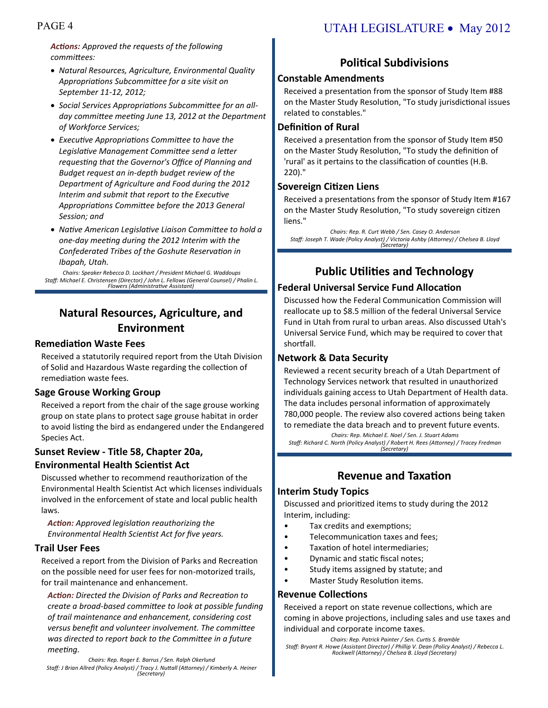#### *Actions: Approved the requests of the following committees:*

- *Natural Resources, Agriculture, Environmental Quality Appropriations Subcommittee for a site visit on September 11-12, 2012;*
- *Social Services Appropriations Subcommittee for an allday committee meeting June 13, 2012 at the Department of Workforce Services;*
- *Executive Appropriations Committee to have the Legislative Management Committee send a letter requesting that the Governor's Office of Planning and Budget request an in-depth budget review of the Department of Agriculture and Food during the 2012 Interim and submit that report to the Executive Appropriations Committee before the 2013 General Session; and*
- *Native American Legislative Liaison Committee to hold a one-day meeting during the 2012 Interim with the Confederated Tribes of the Goshute Reservation in Ibapah, Utah.*

*Chairs: Speaker Rebecca D. Lockhart / President Michael G. Waddoups Staff: Michael E. Christensen (Director) / John L. Fellows (General Counsel) / Phalin L. Flowers (Administrative Assistant)*

# **Natural Resources, Agriculture, and Environment**

#### **Remediation Waste Fees**

Received a statutorily required report from the Utah Division of Solid and Hazardous Waste regarding the collection of remediation waste fees.

#### **Sage Grouse Working Group**

Received a report from the chair of the sage grouse working group on state plans to protect sage grouse habitat in order to avoid listing the bird as endangered under the Endangered Species Act.

#### **Sunset Review - Title 58, Chapter 20a, Environmental Health Scientist Act**

Discussed whether to recommend reauthorization of the Environmental Health Scientist Act which licenses individuals involved in the enforcement of state and local public health laws.

*Action: Approved legislation reauthorizing the Environmental Health Scientist Act for five years.*

#### **Trail User Fees**

Received a report from the Division of Parks and Recreation on the possible need for user fees for non-motorized trails, for trail maintenance and enhancement.

*Action: Directed the Division of Parks and Recreation to create a broad-based committee to look at possible funding of trail maintenance and enhancement, considering cost versus benefit and volunteer involvement. The committee was directed to report back to the Committee in a future meeting.*

# **Political Subdivisions**

#### **Constable Amendments**

Received a presentation from the sponsor of Study Item #88 on the Master Study Resolution, "To study jurisdictional issues related to constables."

#### **Definition of Rural**

Received a presentation from the sponsor of Study Item #50 on the Master Study Resolution, "To study the definition of 'rural' as it pertains to the classification of counties (H.B. 220)."

#### **Sovereign Citizen Liens**

Received a presentations from the sponsor of Study Item #167 on the Master Study Resolution, "To study sovereign citizen liens."

*Chairs: Rep. R. Curt Webb / Sen. Casey O. Anderson Staff: Joseph T. Wade (Policy Analyst) / Victoria Ashby (Attorney) / Chelsea B. Lloyd (Secretary)*

# **Public Utilities and Technology**

#### **Federal Universal Service Fund Allocation**

Discussed how the Federal Communication Commission will reallocate up to \$8.5 million of the federal Universal Service Fund in Utah from rural to urban areas. Also discussed Utah's Universal Service Fund, which may be required to cover that shortfall.

#### **Network & Data Security**

Reviewed a recent security breach of a Utah Department of Technology Services network that resulted in unauthorized individuals gaining access to Utah Department of Health data. The data includes personal information of approximately 780,000 people. The review also covered actions being taken to remediate the data breach and to prevent future events.

*Chairs: Rep. Michael E. Noel / Sen. J. Stuart Adams Staff: Richard C. North (Policy Analyst) / Robert H. Rees (Attorney) / Tracey Fredman (Secretary)*

# **Revenue and Taxation**

#### **Interim Study Topics**

Discussed and prioritized items to study during the 2012 Interim, including:

- Tax credits and exemptions;
- Telecommunication taxes and fees;
- Taxation of hotel intermediaries;
- Dynamic and static fiscal notes;
- Study items assigned by statute; and
- Master Study Resolution items.

#### **Revenue Collections**

Received a report on state revenue collections, which are coming in above projections, including sales and use taxes and individual and corporate income taxes.

*Chairs: Rep. Patrick Painter / Sen. Curtis S. Bramble Staff: Bryant R. Howe (Assistant Director) / Phillip V. Dean (Policy Analyst) / Rebecca L. Rockwell (Attorney) / Chelsea B. Lloyd (Secretary)*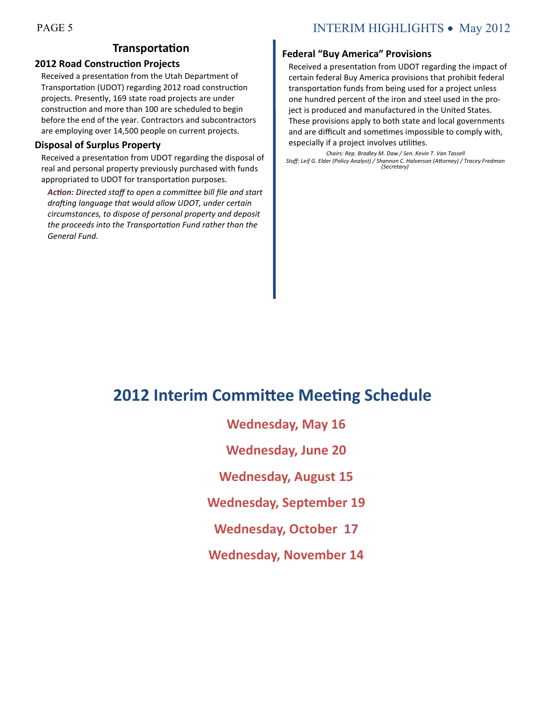# **Transportation**

#### **2012 Road Construction Projects**

Received a presentation from the Utah Department of Transportation (UDOT) regarding 2012 road construction projects. Presently, 169 state road projects are under construction and more than 100 are scheduled to begin before the end of the year. Contractors and subcontractors are employing over 14,500 people on current projects.

#### **Disposal of Surplus Property**

Received a presentation from UDOT regarding the disposal of real and personal property previously purchased with funds appropriated to UDOT for transportation purposes.

*Action: Directed staff to open a committee bill file and start drafting language that would allow UDOT, under certain circumstances, to dispose of personal property and deposit the proceeds into the Transportation Fund rather than the General Fund.*

# PAGE 5 INTERIM HIGHLIGHTS • May 2012

#### **Federal "Buy America" Provisions**

Received a presentation from UDOT regarding the impact of certain federal Buy America provisions that prohibit federal transportation funds from being used for a project unless one hundred percent of the iron and steel used in the project is produced and manufactured in the United States. These provisions apply to both state and local governments and are difficult and sometimes impossible to comply with, especially if a project involves utilities.

*Chairs: Rep. Bradley M. Daw / Sen. Kevin T. Van Tassell Staff: Leif G. Elder (Policy Analyst) / Shannon C. Halverson (Attorney) / Tracey Fredman (Secretary)*

# **2012 Interim Committee Meeting Schedule**

- **Wednesday, May 16**
- **Wednesday, June 20**
- **Wednesday, August 15**
- **Wednesday, September 19**
	- **Wednesday, October 17**
- **Wednesday, November 14**